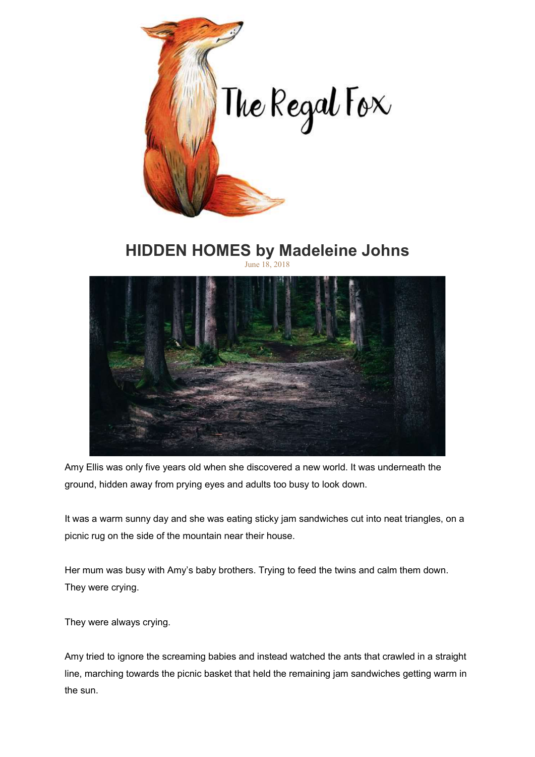

## HIDDEN HOMES by Madeleine Johns June 18, 2018



Amy Ellis was only five years old when she discovered a new world. It was underneath the ground, hidden away from prying eyes and adults too busy to look down.

It was a warm sunny day and she was eating sticky jam sandwiches cut into neat triangles, on a picnic rug on the side of the mountain near their house.

Her mum was busy with Amy's baby brothers. Trying to feed the twins and calm them down. They were crying.

They were always crying.

Amy tried to ignore the screaming babies and instead watched the ants that crawled in a straight line, marching towards the picnic basket that held the remaining jam sandwiches getting warm in the sun.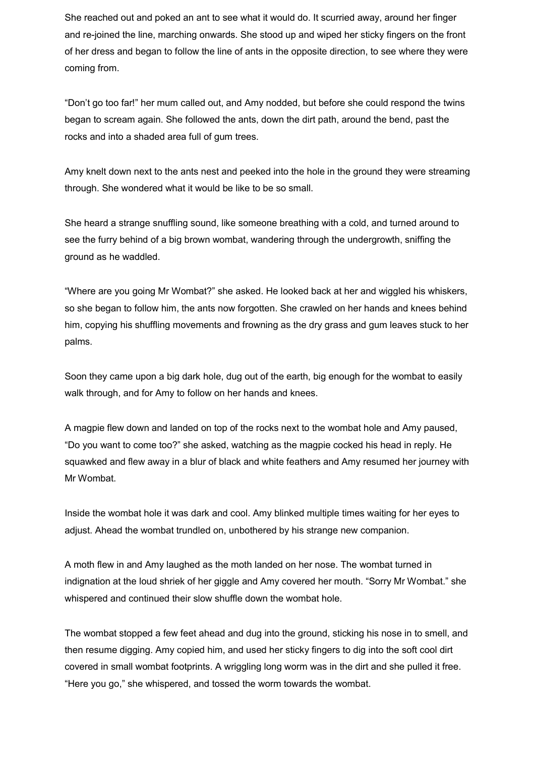She reached out and poked an ant to see what it would do. It scurried away, around her finger and re-joined the line, marching onwards. She stood up and wiped her sticky fingers on the front of her dress and began to follow the line of ants in the opposite direction, to see where they were coming from.

"Don't go too far!" her mum called out, and Amy nodded, but before she could respond the twins began to scream again. She followed the ants, down the dirt path, around the bend, past the rocks and into a shaded area full of gum trees.

Amy knelt down next to the ants nest and peeked into the hole in the ground they were streaming through. She wondered what it would be like to be so small.

She heard a strange snuffling sound, like someone breathing with a cold, and turned around to see the furry behind of a big brown wombat, wandering through the undergrowth, sniffing the ground as he waddled.

"Where are you going Mr Wombat?" she asked. He looked back at her and wiggled his whiskers, so she began to follow him, the ants now forgotten. She crawled on her hands and knees behind him, copying his shuffling movements and frowning as the dry grass and gum leaves stuck to her palms.

Soon they came upon a big dark hole, dug out of the earth, big enough for the wombat to easily walk through, and for Amy to follow on her hands and knees.

A magpie flew down and landed on top of the rocks next to the wombat hole and Amy paused, "Do you want to come too?" she asked, watching as the magpie cocked his head in reply. He squawked and flew away in a blur of black and white feathers and Amy resumed her journey with Mr Wombat.

Inside the wombat hole it was dark and cool. Amy blinked multiple times waiting for her eyes to adjust. Ahead the wombat trundled on, unbothered by his strange new companion.

A moth flew in and Amy laughed as the moth landed on her nose. The wombat turned in indignation at the loud shriek of her giggle and Amy covered her mouth. "Sorry Mr Wombat." she whispered and continued their slow shuffle down the wombat hole.

The wombat stopped a few feet ahead and dug into the ground, sticking his nose in to smell, and then resume digging. Amy copied him, and used her sticky fingers to dig into the soft cool dirt covered in small wombat footprints. A wriggling long worm was in the dirt and she pulled it free. "Here you go," she whispered, and tossed the worm towards the wombat.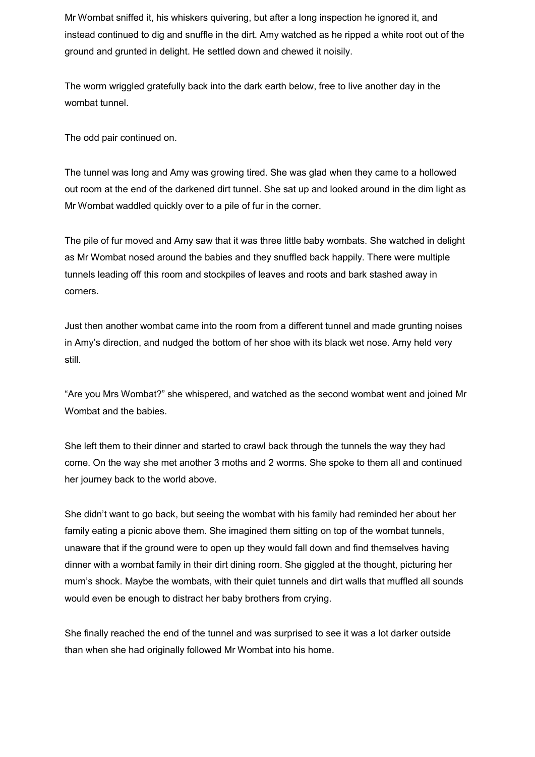Mr Wombat sniffed it, his whiskers quivering, but after a long inspection he ignored it, and instead continued to dig and snuffle in the dirt. Amy watched as he ripped a white root out of the ground and grunted in delight. He settled down and chewed it noisily.

The worm wriggled gratefully back into the dark earth below, free to live another day in the wombat tunnel.

The odd pair continued on.

The tunnel was long and Amy was growing tired. She was glad when they came to a hollowed out room at the end of the darkened dirt tunnel. She sat up and looked around in the dim light as Mr Wombat waddled quickly over to a pile of fur in the corner.

The pile of fur moved and Amy saw that it was three little baby wombats. She watched in delight as Mr Wombat nosed around the babies and they snuffled back happily. There were multiple tunnels leading off this room and stockpiles of leaves and roots and bark stashed away in corners.

Just then another wombat came into the room from a different tunnel and made grunting noises in Amy's direction, and nudged the bottom of her shoe with its black wet nose. Amy held very still.

"Are you Mrs Wombat?" she whispered, and watched as the second wombat went and joined Mr Wombat and the babies.

She left them to their dinner and started to crawl back through the tunnels the way they had come. On the way she met another 3 moths and 2 worms. She spoke to them all and continued her journey back to the world above.

She didn't want to go back, but seeing the wombat with his family had reminded her about her family eating a picnic above them. She imagined them sitting on top of the wombat tunnels, unaware that if the ground were to open up they would fall down and find themselves having dinner with a wombat family in their dirt dining room. She giggled at the thought, picturing her mum's shock. Maybe the wombats, with their quiet tunnels and dirt walls that muffled all sounds would even be enough to distract her baby brothers from crying.

She finally reached the end of the tunnel and was surprised to see it was a lot darker outside than when she had originally followed Mr Wombat into his home.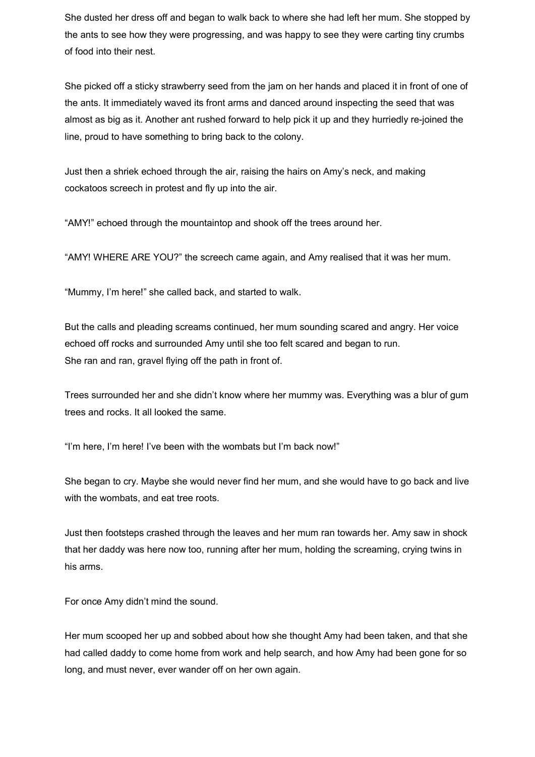She dusted her dress off and began to walk back to where she had left her mum. She stopped by the ants to see how they were progressing, and was happy to see they were carting tiny crumbs of food into their nest.

She picked off a sticky strawberry seed from the jam on her hands and placed it in front of one of the ants. It immediately waved its front arms and danced around inspecting the seed that was almost as big as it. Another ant rushed forward to help pick it up and they hurriedly re-joined the line, proud to have something to bring back to the colony.

Just then a shriek echoed through the air, raising the hairs on Amy's neck, and making cockatoos screech in protest and fly up into the air.

"AMY!" echoed through the mountaintop and shook off the trees around her.

"AMY! WHERE ARE YOU?" the screech came again, and Amy realised that it was her mum.

"Mummy, I'm here!" she called back, and started to walk.

But the calls and pleading screams continued, her mum sounding scared and angry. Her voice echoed off rocks and surrounded Amy until she too felt scared and began to run. She ran and ran, gravel flying off the path in front of.

Trees surrounded her and she didn't know where her mummy was. Everything was a blur of gum trees and rocks. It all looked the same.

"I'm here, I'm here! I've been with the wombats but I'm back now!"

She began to cry. Maybe she would never find her mum, and she would have to go back and live with the wombats, and eat tree roots.

Just then footsteps crashed through the leaves and her mum ran towards her. Amy saw in shock that her daddy was here now too, running after her mum, holding the screaming, crying twins in his arms.

For once Amy didn't mind the sound.

Her mum scooped her up and sobbed about how she thought Amy had been taken, and that she had called daddy to come home from work and help search, and how Amy had been gone for so long, and must never, ever wander off on her own again.